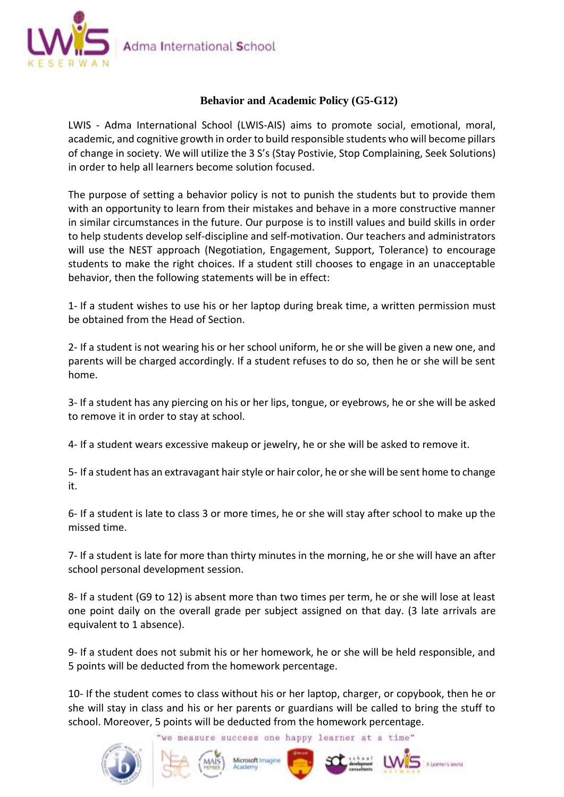

## **Behavior and Academic Policy (G5-G12)**

LWIS - Adma International School (LWIS-AIS) aims to promote social, emotional, moral, academic, and cognitive growth in order to build responsible students who will become pillars of change in society. We will utilize the 3 S's (Stay Postivie, Stop Complaining, Seek Solutions) in order to help all learners become solution focused.

The purpose of setting a behavior policy is not to punish the students but to provide them with an opportunity to learn from their mistakes and behave in a more constructive manner in similar circumstances in the future. Our purpose is to instill values and build skills in order to help students develop self-discipline and self-motivation. Our teachers and administrators will use the NEST approach (Negotiation, Engagement, Support, Tolerance) to encourage students to make the right choices. If a student still chooses to engage in an unacceptable behavior, then the following statements will be in effect:

1- If a student wishes to use his or her laptop during break time, a written permission must be obtained from the Head of Section.

2- If a student is not wearing his or her school uniform, he or she will be given a new one, and parents will be charged accordingly. If a student refuses to do so, then he or she will be sent home.

3- If a student has any piercing on his or her lips, tongue, or eyebrows, he or she will be asked to remove it in order to stay at school.

4- If a student wears excessive makeup or jewelry, he or she will be asked to remove it.

5- If a student has an extravagant hair style or hair color, he or she will be sent home to change it.

6- If a student is late to class 3 or more times, he or she will stay after school to make up the missed time.

7- If a student is late for more than thirty minutes in the morning, he or she will have an after school personal development session.

8- If a student (G9 to 12) is absent more than two times per term, he or she will lose at least one point daily on the overall grade per subject assigned on that day. (3 late arrivals are equivalent to 1 absence).

9- If a student does not submit his or her homework, he or she will be held responsible, and 5 points will be deducted from the homework percentage.

10- If the student comes to class without his or her laptop, charger, or copybook, then he or she will stay in class and his or her parents or guardians will be called to bring the stuff to school. Moreover, 5 points will be deducted from the homework percentage.

'we measure success one happy learner at a time"









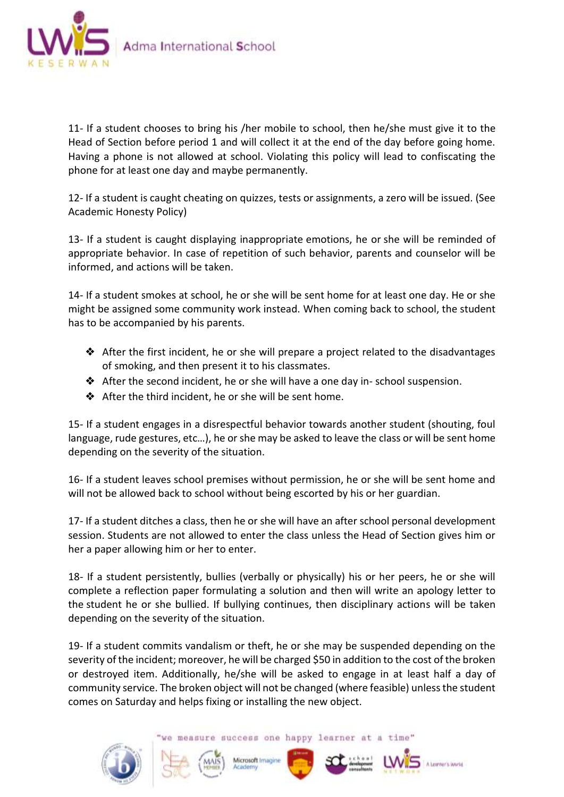

11- If a student chooses to bring his /her mobile to school, then he/she must give it to the Head of Section before period 1 and will collect it at the end of the day before going home. Having a phone is not allowed at school. Violating this policy will lead to confiscating the phone for at least one day and maybe permanently.

12- If a student is caught cheating on quizzes, tests or assignments, a zero will be issued. (See Academic Honesty Policy)

13- If a student is caught displaying inappropriate emotions, he or she will be reminded of appropriate behavior. In case of repetition of such behavior, parents and counselor will be informed, and actions will be taken.

14- If a student smokes at school, he or she will be sent home for at least one day. He or she might be assigned some community work instead. When coming back to school, the student has to be accompanied by his parents.

- ❖ After the first incident, he or she will prepare a project related to the disadvantages of smoking, and then present it to his classmates.
- ❖ After the second incident, he or she will have a one day in- school suspension.
- ❖ After the third incident, he or she will be sent home.

15- If a student engages in a disrespectful behavior towards another student (shouting, foul language, rude gestures, etc…), he or she may be asked to leave the class or will be sent home depending on the severity of the situation.

16- If a student leaves school premises without permission, he or she will be sent home and will not be allowed back to school without being escorted by his or her guardian.

17- If a student ditches a class, then he or she will have an after school personal development session. Students are not allowed to enter the class unless the Head of Section gives him or her a paper allowing him or her to enter.

18- If a student persistently, bullies (verbally or physically) his or her peers, he or she will complete a reflection paper formulating a solution and then will write an apology letter to the student he or she bullied. If bullying continues, then disciplinary actions will be taken depending on the severity of the situation.

19- If a student commits vandalism or theft, he or she may be suspended depending on the severity of the incident; moreover, he will be charged \$50 in addition to the cost of the broken or destroyed item. Additionally, he/she will be asked to engage in at least half a day of community service. The broken object will not be changed (where feasible) unless the student comes on Saturday and helps fixing or installing the new object.

we measure success one happy learner at a time"







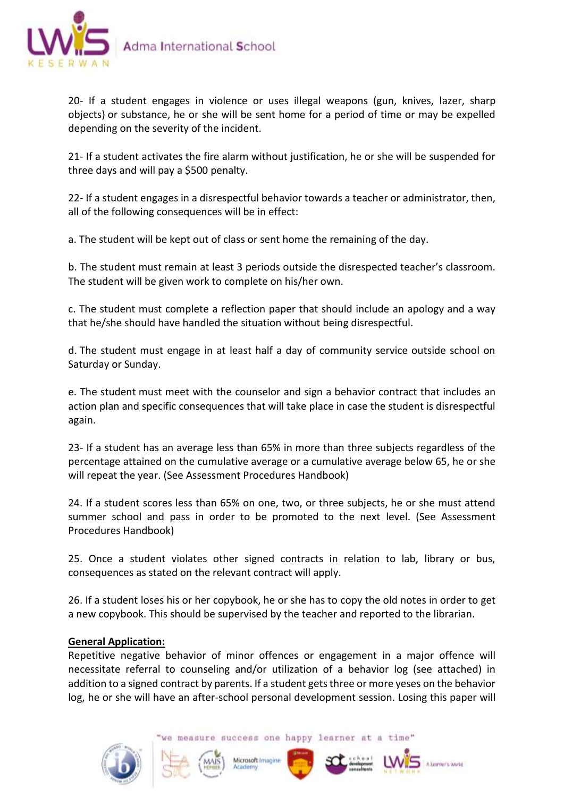

20- If a student engages in violence or uses illegal weapons (gun, knives, lazer, sharp objects) or substance, he or she will be sent home for a period of time or may be expelled depending on the severity of the incident.

21- If a student activates the fire alarm without justification, he or she will be suspended for three days and will pay a \$500 penalty.

22- If a student engages in a disrespectful behavior towards a teacher or administrator, then, all of the following consequences will be in effect:

a. The student will be kept out of class or sent home the remaining of the day.

b. The student must remain at least 3 periods outside the disrespected teacher's classroom. The student will be given work to complete on his/her own.

c. The student must complete a reflection paper that should include an apology and a way that he/she should have handled the situation without being disrespectful.

d. The student must engage in at least half a day of community service outside school on Saturday or Sunday.

e. The student must meet with the counselor and sign a behavior contract that includes an action plan and specific consequences that will take place in case the student is disrespectful again.

23- If a student has an average less than 65% in more than three subjects regardless of the percentage attained on the cumulative average or a cumulative average below 65, he or she will repeat the year. (See Assessment Procedures Handbook)

24. If a student scores less than 65% on one, two, or three subjects, he or she must attend summer school and pass in order to be promoted to the next level. (See Assessment Procedures Handbook)

25. Once a student violates other signed contracts in relation to lab, library or bus, consequences as stated on the relevant contract will apply.

26. If a student loses his or her copybook, he or she has to copy the old notes in order to get a new copybook. This should be supervised by the teacher and reported to the librarian.

## **General Application:**

Repetitive negative behavior of minor offences or engagement in a major offence will necessitate referral to counseling and/or utilization of a behavior log (see attached) in addition to a signed contract by parents. If a student gets three or more yeses on the behavior log, he or she will have an after-school personal development session. Losing this paper will

we measure success one happy learner at a time"